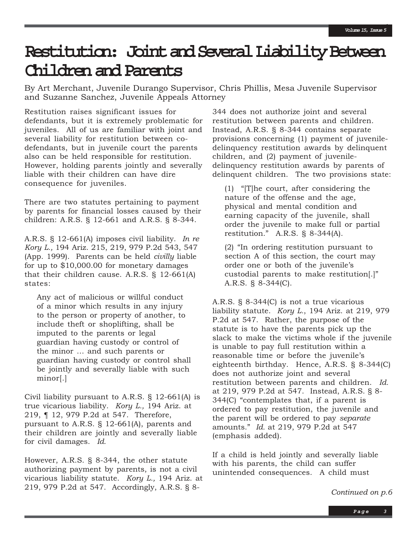# **Restitution: Joint and Several Liability Between Children and Parents**

By Art Merchant, Juvenile Durango Supervisor, Chris Phillis, Mesa Juvenile Supervisor and Suzanne Sanchez, Juvenile Appeals Attorney

Restitution raises significant issues for defendants, but it is extremely problematic for juveniles. All of us are familiar with joint and several liability for restitution between codefendants, but in juvenile court the parents also can be held responsible for restitution. However, holding parents jointly and severally liable with their children can have dire consequence for juveniles.

There are two statutes pertaining to payment by parents for financial losses caused by their children: A.R.S. § 12-661 and A.R.S. § 8-344.

A.R.S. § 12-661(A) imposes civil liability. *In re Kory L.,* 194 Ariz. 215, 219, 979 P.2d 543, 547 (App. 1999). Parents can be held *civilly* liable for up to \$10,000.00 for monetary damages that their children cause. A.R.S. § 12-661(A) states:

Any act of malicious or willful conduct of a minor which results in any injury to the person or property of another, to include theft or shoplifting, shall be imputed to the parents or legal guardian having custody or control of the minor … and such parents or guardian having custody or control shall be jointly and severally liable with such minor[.]

Civil liability pursuant to A.R.S. § 12-661(A) is true vicarious liability. *Kory L.,* 194 Ariz. at 219, ¶ 12, 979 P.2d at 547. Therefore, pursuant to A.R.S. § 12-661(A), parents and their children are jointly and severally liable for civil damages. *Id.*

However, A.R.S. § 8-344, the other statute authorizing payment by parents, is not a civil vicarious liability statute. *Kory L.,* 194 Ariz. at 219, 979 P.2d at 547. Accordingly, A.R.S. § 8-

344 does not authorize joint and several restitution between parents and children. Instead, A.R.S. § 8-344 contains separate provisions concerning (1) payment of juveniledelinquency restitution awards by delinquent children, and (2) payment of juveniledelinquency restitution awards by parents of delinquent children. The two provisions state:

(1) "[T]he court, after considering the nature of the offense and the age, physical and mental condition and earning capacity of the juvenile, shall order the juvenile to make full or partial restitution." A.R.S. § 8-344(A).

(2) "In ordering restitution pursuant to section A of this section, the court may order one or both of the juvenile's custodial parents to make restitution[.]" A.R.S. § 8-344(C).

A.R.S. § 8-344(C) is not a true vicarious liability statute. *Kory L.*, 194 Ariz. at 219, 979 P.2d at 547. Rather, the purpose of the statute is to have the parents pick up the slack to make the victims whole if the juvenile is unable to pay full restitution within a reasonable time or before the juvenile's eighteenth birthday. Hence, A.R.S. § 8-344(C) does not authorize joint and several restitution between parents and children. *Id.* at 219, 979 P.2d at 547. Instead, A.R.S. § 8- 344(C) "contemplates that, if a parent is ordered to pay restitution, the juvenile and the parent will be ordered to pay *separate* amounts." *Id.* at 219, 979 P.2d at 547 (emphasis added).

If a child is held jointly and severally liable with his parents, the child can suffer unintended consequences. A child must

*Continued on p.6*